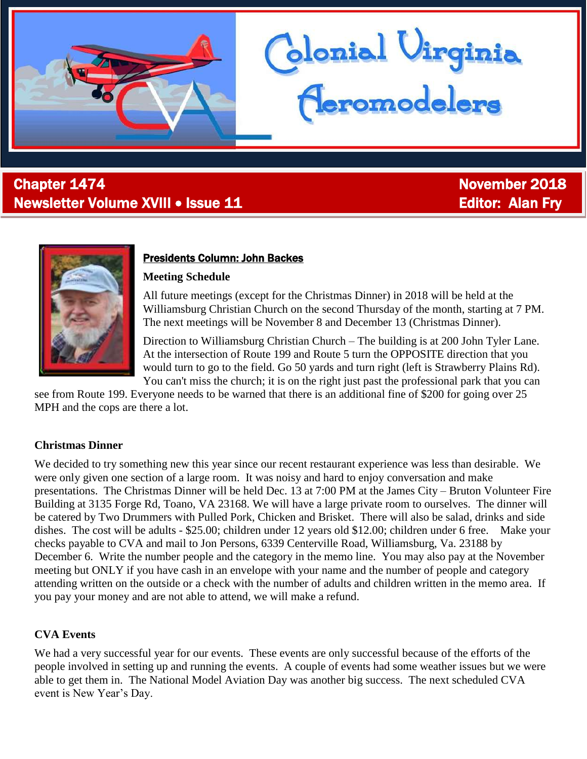

# **Chapter 1474** November 2018 Newsletter Volume XVIII • Issue 11 **Editor: Alan Fry** Editor: Alan Fry



j

#### Presidents Column: John Backes

#### **Meeting Schedule**

All future meetings (except for the Christmas Dinner) in 2018 will be held at the Williamsburg Christian Church on the second Thursday of the month, starting at 7 PM. The next meetings will be November 8 and December 13 (Christmas Dinner).

blonial Virginia<br>Ceromodelers

Direction to Williamsburg Christian Church – The building is at 200 John Tyler Lane. At the intersection of Route 199 and Route 5 turn the OPPOSITE direction that you would turn to go to the field. Go 50 yards and turn right (left is Strawberry Plains Rd). You can't miss the church; it is on the right just past the professional park that you can

see from Route 199. Everyone needs to be warned that there is an additional fine of \$200 for going over 25 MPH and the cops are there a lot.

#### **Christmas Dinner**

We decided to try something new this year since our recent restaurant experience was less than desirable. We were only given one section of a large room. It was noisy and hard to enjoy conversation and make presentations. The Christmas Dinner will be held Dec. 13 at 7:00 PM at the James City – Bruton Volunteer Fire Building at 3135 Forge Rd, Toano, VA 23168. We will have a large private room to ourselves. The dinner will be catered by Two Drummers with Pulled Pork, Chicken and Brisket. There will also be salad, drinks and side dishes. The cost will be adults - \$25.00; children under 12 years old \$12.00; children under 6 free. Make your checks payable to CVA and mail to Jon Persons, 6339 Centerville Road, Williamsburg, Va. 23188 by December 6. Write the number people and the category in the memo line. You may also pay at the November meeting but ONLY if you have cash in an envelope with your name and the number of people and category attending written on the outside or a check with the number of adults and children written in the memo area. If you pay your money and are not able to attend, we will make a refund.

#### **CVA Events**

We had a very successful year for our events. These events are only successful because of the efforts of the people involved in setting up and running the events. A couple of events had some weather issues but we were able to get them in. The National Model Aviation Day was another big success. The next scheduled CVA event is New Year's Day.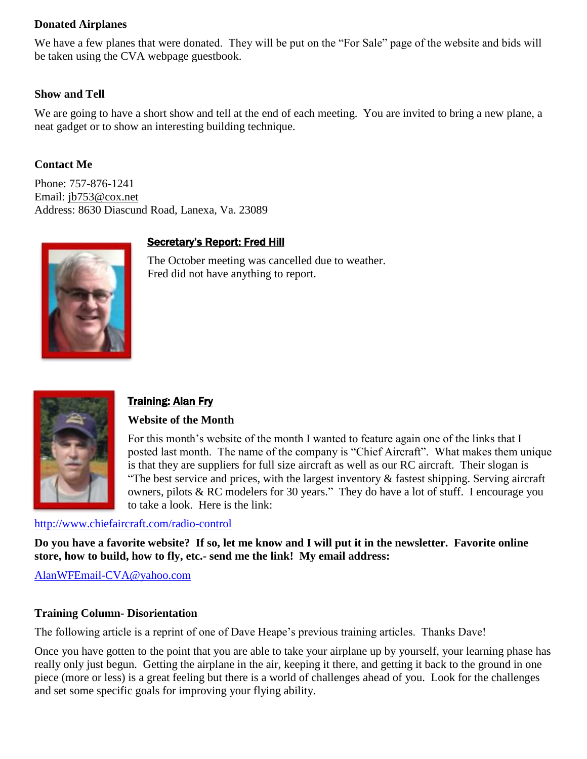#### **Donated Airplanes**

We have a few planes that were donated. They will be put on the "For Sale" page of the website and bids will be taken using the CVA webpage guestbook.

#### **Show and Tell**

We are going to have a short show and tell at the end of each meeting. You are invited to bring a new plane, a neat gadget or to show an interesting building technique.

#### **Contact Me**

Phone: 757-876-1241 Email: [jb753@cox.net](mailto:jb753@cox.net) Address: 8630 Diascund Road, Lanexa, Va. 23089

### Secretary's Report: Fred Hill



The October meeting was cancelled due to weather. Fred did not have anything to report.



## Training: Alan Fry

#### **Website of the Month**

For this month's website of the month I wanted to feature again one of the links that I posted last month. The name of the company is "Chief Aircraft". What makes them unique is that they are suppliers for full size aircraft as well as our RC aircraft. Their slogan is "The best service and prices, with the largest inventory  $\&$  fastest shipping. Serving aircraft owners, pilots & RC modelers for 30 years." They do have a lot of stuff. I encourage you to take a look. Here is the link:

#### <http://www.chiefaircraft.com/radio-control>

**Do you have a favorite website? If so, let me know and I will put it in the newsletter. Favorite online store, how to build, how to fly, etc.- send me the link! My email address:**

[AlanWFEmail-CVA@yahoo.com](mailto:AlanWFEmail-CVA@yahoo.com)

#### **Training Column- Disorientation**

The following article is a reprint of one of Dave Heape's previous training articles. Thanks Dave!

Once you have gotten to the point that you are able to take your airplane up by yourself, your learning phase has really only just begun. Getting the airplane in the air, keeping it there, and getting it back to the ground in one piece (more or less) is a great feeling but there is a world of challenges ahead of you. Look for the challenges and set some specific goals for improving your flying ability.